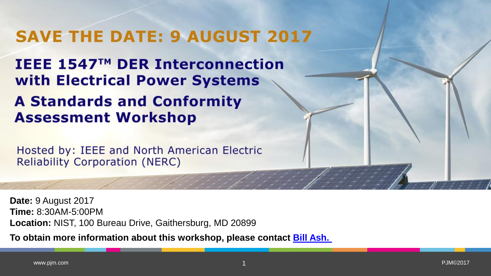# **SAVE THE DATE: 9 AUGUST 2017**

IEEE 1547™ DER Interconnection with Electrical Power Systems

## **A Standards and Conformity Assessment Workshop**

Hosted by: IEEE and North American Electric **Reliability Corporation (NERC)** 

**Date:** 9 August 2017 **Time:** 8:30AM-5:00PM **Location:** NIST, 100 Bureau Drive, Gaithersburg, MD 20899

**To obtain more information about this workshop, please contact [Bill Ash.](mailto:W.ash@ieee.org?subject=DER%20IEEE%201547%20Workshop)**